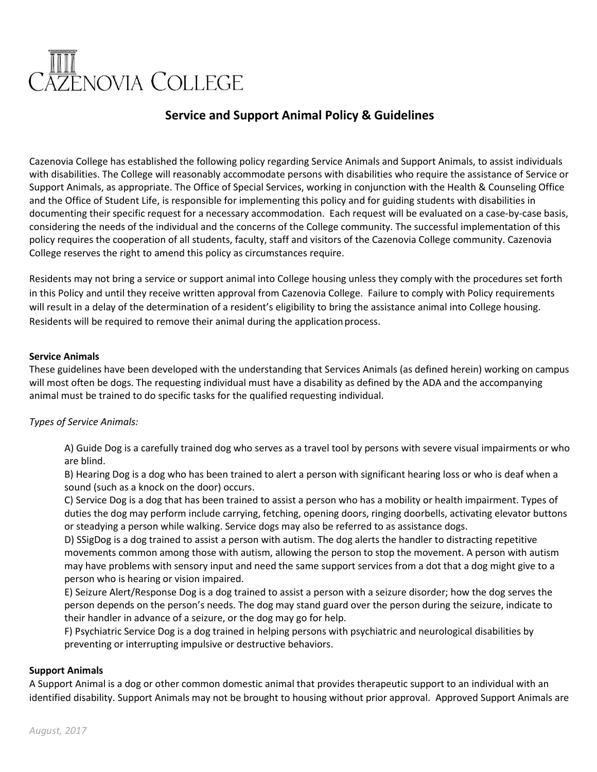# III<br>\ZENOVIA COLLEGE

# **Service and Support Animal Policy & Guidelines**

Cazenovia College has established the following policy regarding Service Animals and Support Animals, to assist individuals with disabilities. The College will reasonably accommodate persons with disabilities who require the assistance of Service or Support Animals, as appropriate. The Office of Special Services, working in conjunction with the Health & Counseling Office and the Office of Student Life, is responsible for implementing this policy and for guiding students with disabilities in documenting their specific request for a necessary accommodation. Each request will be evaluated on a case-by-case basis, considering the needs of the individual and the concerns of the College community. The successful implementation of this policy requires the cooperation of all students, faculty, staff and visitors of the Cazenovia College community. Cazenovia College reserves the right to amend this policy as circumstances require.

Residents may not bring a service or support animal into College housing unless they comply with the procedures set forth in this Policy and until they receive written approval from Cazenovia College. Failure to comply with Policy requirements will result in a delay of the determination of a resident's eligibility to bring the assistance animal into College housing. Residents will be required to remove their animal during the application process.

# **Service Animals**

These guidelines have been developed with the understanding that Services Animals (as defined herein) working on campus will most often be dogs. The requesting individual must have a disability as defined by the ADA and the accompanying animal must be trained to do specific tasks for the qualified requesting individual.

# *Types of Service Animals:*

A) Guide Dog is a carefully trained dog who serves as a travel tool by persons with severe visual impairments or who are blind.

B) Hearing Dog is a dog who has been trained to alert a person with significant hearing loss or who is deaf when a sound (such as a knock on the door) occurs.

C) Service Dog is a dog that has been trained to assist a person who has a mobility or health impairment. Types of duties the dog may perform include carrying, fetching, opening doors, ringing doorbells, activating elevator buttons or steadying a person while walking. Service dogs may also be referred to as assistance dogs.

D) SSigDog is a dog trained to assist a person with autism. The dog alerts the handler to distracting repetitive movements common among those with autism, allowing the person to stop the movement. A person with autism may have problems with sensory input and need the same support services from a dot that a dog might give to a person who is hearing or vision impaired.

E) Seizure Alert/Response Dog is a dog trained to assist a person with a seizure disorder; how the dog serves the person depends on the person's needs. The dog may stand guard over the person during the seizure, indicate to their handler in advance of a seizure, or the dog may go for help.

F) Psychiatric Service Dog is a dog trained in helping persons with psychiatric and neurological disabilities by preventing or interrupting impulsive or destructive behaviors.

# **Support Animals**

A Support Animal is a dog or other common domestic animal that provides therapeutic support to an individual with an identified disability. Support Animals may not be brought to housing without prior approval. Approved Support Animals are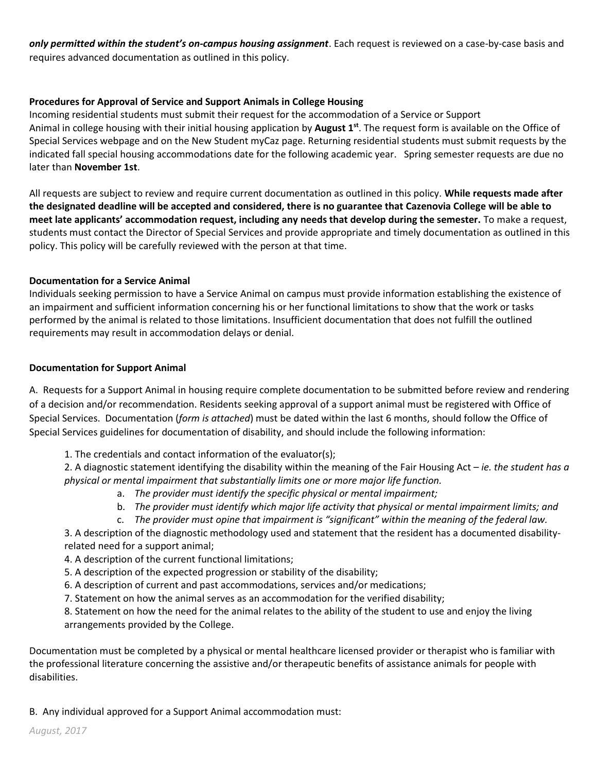*only permitted within the student's on‐campus housing assignment*. Each request is reviewed on a case‐by‐case basis and requires advanced documentation as outlined in this policy.

# **Procedures for Approval of Service and Support Animals in College Housing**

Incoming residential students must submit their request for the accommodation of a Service or Support Animal in college housing with their initial housing application by **August 1st**. The request form is available on the Office of Special Services webpage and on the New Student myCaz page. Returning residential students must submit requests by the indicated fall special housing accommodations date for the following academic year. Spring semester requests are due no later than **November 1st**.

All requests are subject to review and require current documentation as outlined in this policy. **While requests made after the designated deadline will be accepted and considered, there is no guarantee that Cazenovia College will be able to meet late applicants' accommodation request, including any needs that develop during the semester.** To make a request, students must contact the Director of Special Services and provide appropriate and timely documentation as outlined in this policy. This policy will be carefully reviewed with the person at that time.

# **Documentation for a Service Animal**

Individuals seeking permission to have a Service Animal on campus must provide information establishing the existence of an impairment and sufficient information concerning his or her functional limitations to show that the work or tasks performed by the animal is related to those limitations. Insufficient documentation that does not fulfill the outlined requirements may result in accommodation delays or denial.

## **Documentation for Support Animal**

A. Requests for a Support Animal in housing require complete documentation to be submitted before review and rendering of a decision and/or recommendation. Residents seeking approval of a support animal must be registered with Office of Special Services. Documentation (*form is attached*) must be dated within the last 6 months, should follow the Office of Special Services guidelines for documentation of disability, and should include the following information:

1. The credentials and contact information of the evaluator(s);

2. A diagnostic statement identifying the disability within the meaning of the Fair Housing Act – *ie. the student has a physical or mental impairment that substantially limits one or more major life function.* 

- a. *The provider must identify the specific physical or mental impairment;*
- b. *The provider must identify which major life activity that physical or mental impairment limits; and*
- c. *The provider must opine that impairment is "significant" within the meaning of the federal law.*

3. A description of the diagnostic methodology used and statement that the resident has a documented disabilityrelated need for a support animal;

4. A description of the current functional limitations;

- 5. A description of the expected progression or stability of the disability;
- 6. A description of current and past accommodations, services and/or medications;
- 7. Statement on how the animal serves as an accommodation for the verified disability;

8. Statement on how the need for the animal relates to the ability of the student to use and enjoy the living arrangements provided by the College.

Documentation must be completed by a physical or mental healthcare licensed provider or therapist who is familiar with the professional literature concerning the assistive and/or therapeutic benefits of assistance animals for people with disabilities.

B. Any individual approved for a Support Animal accommodation must: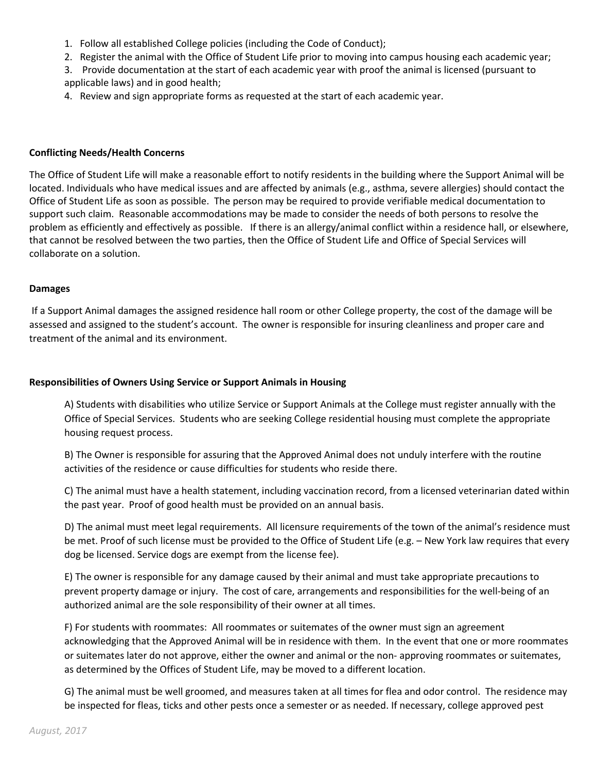- 1. Follow all established College policies (including the Code of Conduct);
- 2. Register the animal with the Office of Student Life prior to moving into campus housing each academic year;
- 3. Provide documentation at the start of each academic year with proof the animal is licensed (pursuant to applicable laws) and in good health;
- 4. Review and sign appropriate forms as requested at the start of each academic year.

#### **Conflicting Needs/Health Concerns**

The Office of Student Life will make a reasonable effort to notify residents in the building where the Support Animal will be located. Individuals who have medical issues and are affected by animals (e.g., asthma, severe allergies) should contact the Office of Student Life as soon as possible. The person may be required to provide verifiable medical documentation to support such claim. Reasonable accommodations may be made to consider the needs of both persons to resolve the problem as efficiently and effectively as possible. If there is an allergy/animal conflict within a residence hall, or elsewhere, that cannot be resolved between the two parties, then the Office of Student Life and Office of Special Services will collaborate on a solution.

#### **Damages**

If a Support Animal damages the assigned residence hall room or other College property, the cost of the damage will be assessed and assigned to the student's account. The owner is responsible for insuring cleanliness and proper care and treatment of the animal and its environment.

#### **Responsibilities of Owners Using Service or Support Animals in Housing**

A) Students with disabilities who utilize Service or Support Animals at the College must register annually with the Office of Special Services. Students who are seeking College residential housing must complete the appropriate housing request process.

B) The Owner is responsible for assuring that the Approved Animal does not unduly interfere with the routine activities of the residence or cause difficulties for students who reside there.

C) The animal must have a health statement, including vaccination record, from a licensed veterinarian dated within the past year. Proof of good health must be provided on an annual basis.

D) The animal must meet legal requirements. All licensure requirements of the town of the animal's residence must be met. Proof of such license must be provided to the Office of Student Life (e.g. – New York law requires that every dog be licensed. Service dogs are exempt from the license fee).

E) The owner is responsible for any damage caused by their animal and must take appropriate precautions to prevent property damage or injury. The cost of care, arrangements and responsibilities for the well‐being of an authorized animal are the sole responsibility of their owner at all times.

F) For students with roommates: All roommates or suitemates of the owner must sign an agreement acknowledging that the Approved Animal will be in residence with them. In the event that one or more roommates or suitemates later do not approve, either the owner and animal or the non‐ approving roommates or suitemates, as determined by the Offices of Student Life, may be moved to a different location.

G) The animal must be well groomed, and measures taken at all times for flea and odor control. The residence may be inspected for fleas, ticks and other pests once a semester or as needed. If necessary, college approved pest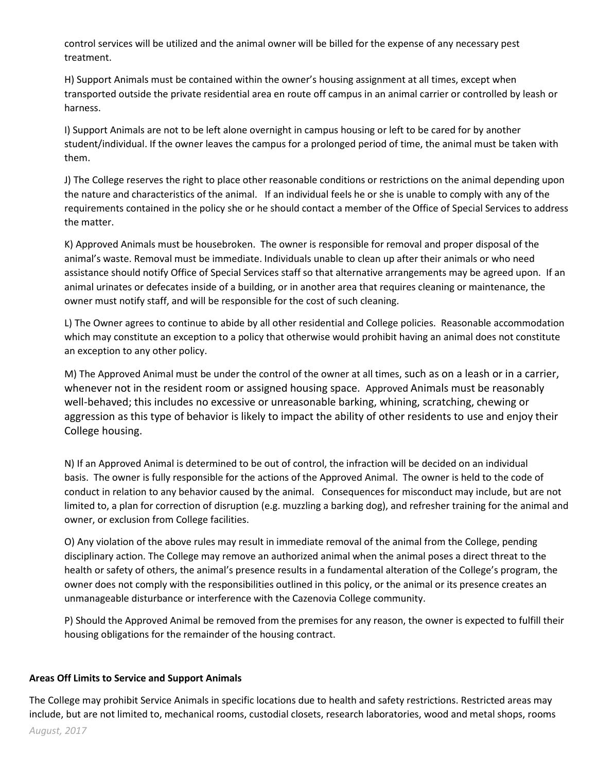control services will be utilized and the animal owner will be billed for the expense of any necessary pest treatment.

H) Support Animals must be contained within the owner's housing assignment at all times, except when transported outside the private residential area en route off campus in an animal carrier or controlled by leash or harness.

I) Support Animals are not to be left alone overnight in campus housing or left to be cared for by another student/individual. If the owner leaves the campus for a prolonged period of time, the animal must be taken with them.

J) The College reserves the right to place other reasonable conditions or restrictions on the animal depending upon the nature and characteristics of the animal. If an individual feels he or she is unable to comply with any of the requirements contained in the policy she or he should contact a member of the Office of Special Services to address the matter.

K) Approved Animals must be housebroken. The owner is responsible for removal and proper disposal of the animal's waste. Removal must be immediate. Individuals unable to clean up after their animals or who need assistance should notify Office of Special Services staff so that alternative arrangements may be agreed upon. If an animal urinates or defecates inside of a building, or in another area that requires cleaning or maintenance, the owner must notify staff, and will be responsible for the cost of such cleaning.

L) The Owner agrees to continue to abide by all other residential and College policies. Reasonable accommodation which may constitute an exception to a policy that otherwise would prohibit having an animal does not constitute an exception to any other policy.

M) The Approved Animal must be under the control of the owner at all times, such as on a leash or in a carrier, whenever not in the resident room or assigned housing space. Approved Animals must be reasonably well-behaved; this includes no excessive or unreasonable barking, whining, scratching, chewing or aggression as this type of behavior is likely to impact the ability of other residents to use and enjoy their College housing.

N) If an Approved Animal is determined to be out of control, the infraction will be decided on an individual basis. The owner is fully responsible for the actions of the Approved Animal. The owner is held to the code of conduct in relation to any behavior caused by the animal. Consequences for misconduct may include, but are not limited to, a plan for correction of disruption (e.g. muzzling a barking dog), and refresher training for the animal and owner, or exclusion from College facilities.

O) Any violation of the above rules may result in immediate removal of the animal from the College, pending disciplinary action. The College may remove an authorized animal when the animal poses a direct threat to the health or safety of others, the animal's presence results in a fundamental alteration of the College's program, the owner does not comply with the responsibilities outlined in this policy, or the animal or its presence creates an unmanageable disturbance or interference with the Cazenovia College community.

P) Should the Approved Animal be removed from the premises for any reason, the owner is expected to fulfill their housing obligations for the remainder of the housing contract.

# **Areas Off Limits to Service and Support Animals**

The College may prohibit Service Animals in specific locations due to health and safety restrictions. Restricted areas may include, but are not limited to, mechanical rooms, custodial closets, research laboratories, wood and metal shops, rooms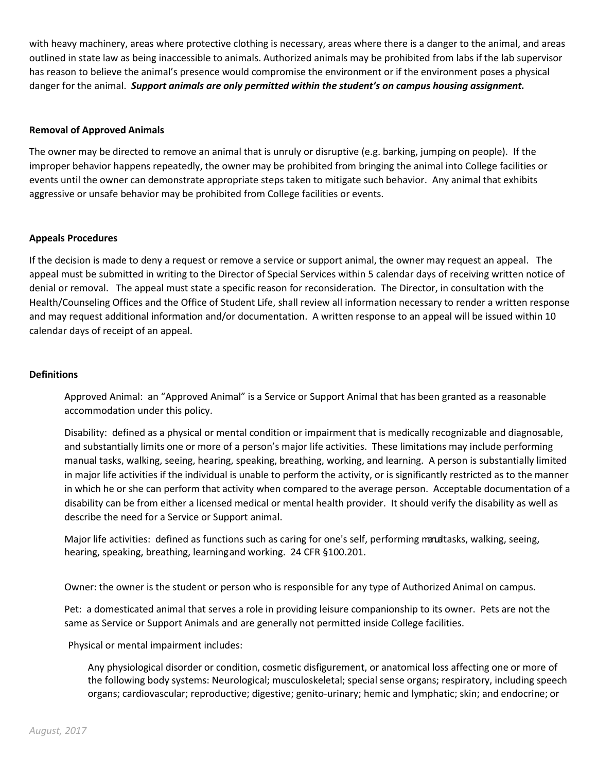with heavy machinery, areas where protective clothing is necessary, areas where there is a danger to the animal, and areas outlined in state law as being inaccessible to animals. Authorized animals may be prohibited from labs if the lab supervisor has reason to believe the animal's presence would compromise the environment or if the environment poses a physical danger for the animal. *Support animals are only permitted within the student's on campus housing assignment.* 

# **Removal of Approved Animals**

The owner may be directed to remove an animal that is unruly or disruptive (e.g. barking, jumping on people). If the improper behavior happens repeatedly, the owner may be prohibited from bringing the animal into College facilities or events until the owner can demonstrate appropriate steps taken to mitigate such behavior. Any animal that exhibits aggressive or unsafe behavior may be prohibited from College facilities or events.

#### **Appeals Procedures**

If the decision is made to deny a request or remove a service or support animal, the owner may request an appeal. The appeal must be submitted in writing to the Director of Special Services within 5 calendar days of receiving written notice of denial or removal. The appeal must state a specific reason for reconsideration. The Director, in consultation with the Health/Counseling Offices and the Office of Student Life, shall review all information necessary to render a written response and may request additional information and/or documentation. A written response to an appeal will be issued within 10 calendar days of receipt of an appeal.

## **Definitions**

Approved Animal: an "Approved Animal" is a Service or Support Animal that has been granted as a reasonable accommodation under this policy.

Disability: defined as a physical or mental condition or impairment that is medically recognizable and diagnosable, and substantially limits one or more of a person's major life activities. These limitations may include performing manual tasks, walking, seeing, hearing, speaking, breathing, working, and learning. A person is substantially limited in major life activities if the individual is unable to perform the activity, or is significantly restricted as to the manner in which he or she can perform that activity when compared to the average person. Acceptable documentation of a disability can be from either a licensed medical or mental health provider. It should verify the disability as well as describe the need for a Service or Support animal.

Major life activities: defined as functions such as caring for one's self, performing manualtasks, walking, seeing, hearing, speaking, breathing, learningand working. 24 CFR §100.201.

Owner: the owner is the student or person who is responsible for any type of Authorized Animal on campus.

Pet: a domesticated animal that serves a role in providing leisure companionship to its owner. Pets are not the same as Service or Support Animals and are generally not permitted inside College facilities.

Physical or mental impairment includes:

Any physiological disorder or condition, cosmetic disfigurement, or anatomical loss affecting one or more of the following body systems: Neurological; musculoskeletal; special sense organs; respiratory, including speech organs; cardiovascular; reproductive; digestive; genito-urinary; hemic and lymphatic; skin; and endocrine; or